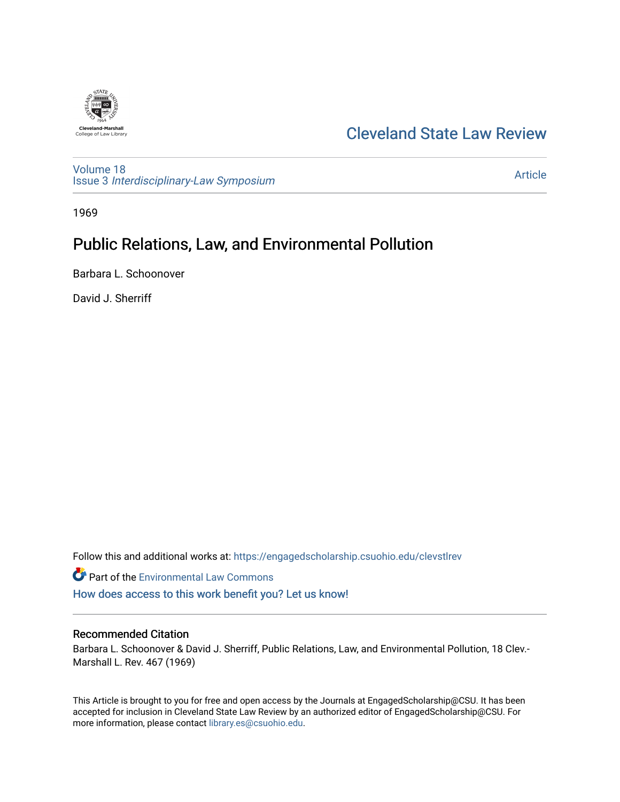

# [Cleveland State Law Review](https://engagedscholarship.csuohio.edu/clevstlrev)

[Volume 18](https://engagedscholarship.csuohio.edu/clevstlrev/vol18) Issue 3 [Interdisciplinary-Law Symposium](https://engagedscholarship.csuohio.edu/clevstlrev/vol18/iss3)

[Article](https://engagedscholarship.csuohio.edu/clevstlrev/vol18/iss3/6) 

1969

# Public Relations, Law, and Environmental Pollution

Barbara L. Schoonover

David J. Sherriff

Follow this and additional works at: [https://engagedscholarship.csuohio.edu/clevstlrev](https://engagedscholarship.csuohio.edu/clevstlrev?utm_source=engagedscholarship.csuohio.edu%2Fclevstlrev%2Fvol18%2Fiss3%2F6&utm_medium=PDF&utm_campaign=PDFCoverPages)

Part of the [Environmental Law Commons](http://network.bepress.com/hgg/discipline/599?utm_source=engagedscholarship.csuohio.edu%2Fclevstlrev%2Fvol18%2Fiss3%2F6&utm_medium=PDF&utm_campaign=PDFCoverPages) [How does access to this work benefit you? Let us know!](http://library.csuohio.edu/engaged/)

## Recommended Citation

Barbara L. Schoonover & David J. Sherriff, Public Relations, Law, and Environmental Pollution, 18 Clev.- Marshall L. Rev. 467 (1969)

This Article is brought to you for free and open access by the Journals at EngagedScholarship@CSU. It has been accepted for inclusion in Cleveland State Law Review by an authorized editor of EngagedScholarship@CSU. For more information, please contact [library.es@csuohio.edu](mailto:library.es@csuohio.edu).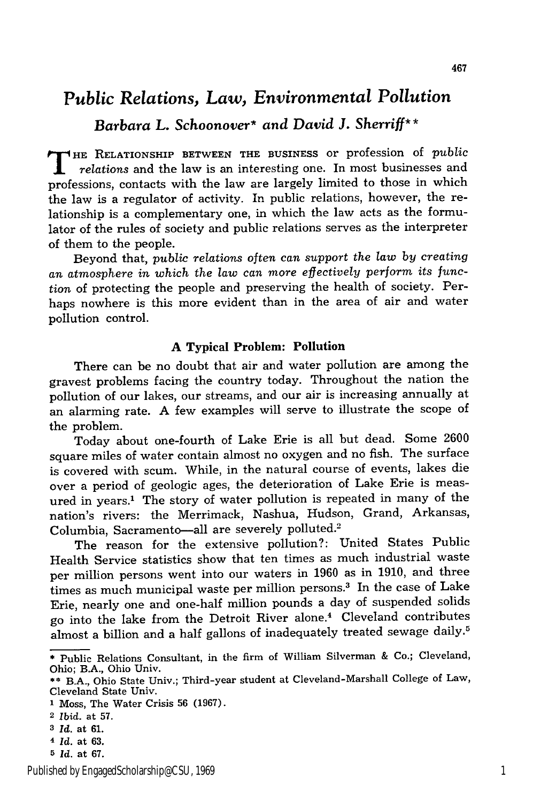## *Public Relations, Law, Environmental Pollution*

*Barbara L. Schoonover\* and David J. Sherriff\** **\***

THE RELATIONSHIP BETWEEN THE BUSINESS or profession of *public relations* and the law is an interesting one. In most businesses and professions, contacts with the law are largely limited to those in which the law is a regulator of activity. In public relations, however, the relationship is a complementary one, in which the law acts as the formulator of the rules of society and public relations serves as the interpreter of them to the people.

Beyond that, *public relations often can support the law by creating an atmosphere in which the law can more effectively perform its func*tion of protecting the people and preserving the health of society. Perhaps nowhere is this more evident than in the area of air and water pollution control.

#### **A Typical Problem: Pollution**

There can be no doubt that air and water pollution are among the gravest problems facing the country today. Throughout the nation the pollution of our lakes, our streams, and our air is increasing annually at an alarming rate. A few examples will serve to illustrate the scope of the problem.

Today about one-fourth of Lake Erie is all but dead. Some 2600 square miles of water contain almost no oxygen and no fish. The surface is covered with scum. While, in the natural course of events, lakes die over a period of geologic ages, the deterioration of Lake Erie is measured in years.' The story of water pollution is repeated in many of the nation's rivers: the Merrimack, Nashua, Hudson, Grand, Arkansas, Columbia, Sacramento-all are severely polluted.<sup>2</sup>

The reason for the extensive pollution?: United States Public Health Service statistics show that ten times as much industrial waste per million persons went into our waters in 1960 as in 1910, and three times as much municipal waste per million persons.<sup>3</sup> In the case of Lake Erie, nearly one and one-half million pounds a day of suspended solids go into the lake from the Detroit River alone.4 Cleveland contributes almost a billion and a half gallons of inadequately treated sewage daily.<sup>5</sup>

- **3** *Id.* at **61.**
- *4 Id.* at **63.**
- *5 Id.* at **67.**

**<sup>\*</sup>** Public Relations Consultant, in the firm of William Silverman & Co.; Cleveland, Ohio; B.A., Ohio Univ.

<sup>\*\*</sup> B.A., Ohio State Univ.; Third-year student at Cleveland-Marshall College of Law, Cleveland State Univ.

<sup>1</sup> Moss, The Water Crisis **56** (1967).

<sup>2</sup> *Ibid.* at 57.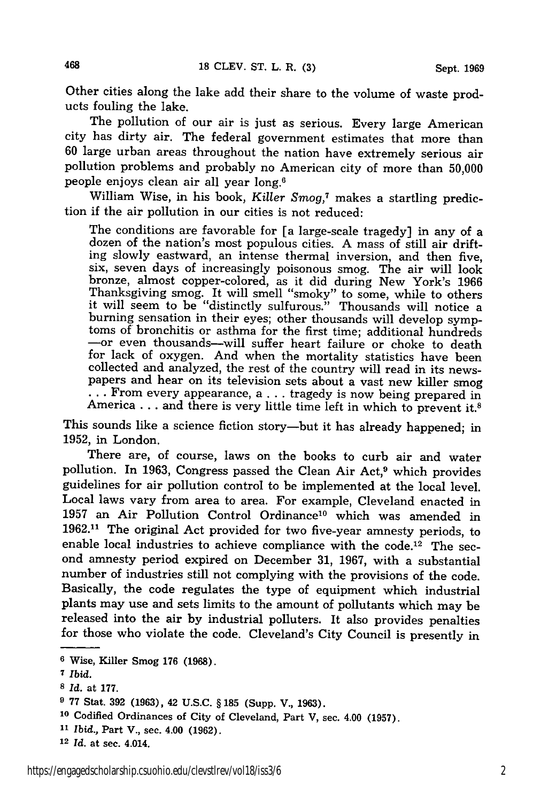Other cities along the lake add their share to the volume of waste products fouling the lake.

The pollution of our air is just as serious. Every large American city has dirty air. The federal government estimates that more than 60 large urban areas throughout the nation have extremely serious air pollution problems and probably no American city of more than 50,000 people enjoys clean air all year long.6

William Wise, in his book, *Killer Smog,7* makes a startling prediction if the air pollution in our cities is not reduced:

The conditions are favorable for [a large-scale tragedy] in any of a dozen of the nation's most populous cities. A mass of still air drifting slowly eastward, an intense thermal inversion, and then five, six, seven days of increasingly poisonous smog. The air will look bronze, almost copper-colored, as it did during New York's 1966 Thanksgiving smog. It will smell "smoky" to some, while to others it will seem to be "distinctly sulfurous." Thousands will notice a burning sensation in their eyes; other thousands will develop symptoms of bronchitis or asthma for the first time; additional hundreds -or even thousands-will suffer heart failure or choke to death for lack of oxygen. And when the mortality statistics have been collected and analyzed, the rest of the country will read in its newspapers and hear on its television sets about a vast new killer smog **...** From every appearance, a... tragedy is now being prepared in America . . . and there is very little time left in which to prevent it.<sup>8</sup>

This sounds like a science fiction story-but it has already happened; in 1952, in London.

There are, of course, laws on the books to curb air and water pollution. In 1963, Congress passed the Clean Air Act,<sup>9</sup> which provides guidelines for air pollution control to be implemented at the local level. Local laws vary from area to area. For example, Cleveland enacted in 1957 an Air Pollution Control Ordinance<sup>10</sup> which was amended in 1962.11 The original Act provided for two five-year amnesty periods, to enable local industries to achieve compliance with the code.<sup>12</sup> The second amnesty period expired on December 31, 1967, with a substantial number of industries still not complying with the provisions of the code. Basically, the code regulates the type of equipment which industrial plants may use and sets limits to the amount of pollutants which may be released into the air by industrial polluters. It also provides penalties for those who violate the code. Cleveland's City Council is presently in

468

**<sup>6</sup>**Wise, Killer Smog 176 (1968).

**<sup>7</sup>***Ibid.*

*S Id.* at **177.**

**<sup>9</sup>** 77 Stat. 392 (1963), 42 U.S.C. § 185 (Supp. V., 1963).

**<sup>10</sup>**Codified Ordinances of City of Cleveland, Part V, sec. 4.00 (1957).

*<sup>11</sup>Ibid.,* Part V., sec. 4.00 (1962).

**<sup>12</sup>***Id.* at sec. 4.014.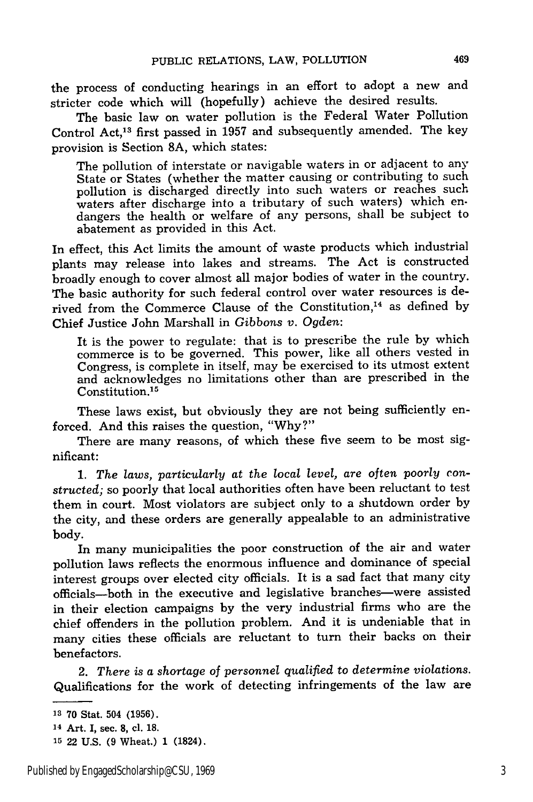the process of conducting hearings in an effort to adopt a new and stricter code which will (hopefully) achieve the desired results.

The basic law on water pollution is the Federal Water Pollution Control Act,13 first passed in 1957 and subsequently amended. The key provision is Section 8A, which states:

The pollution of interstate or navigable waters in or adjacent to any State or States (whether the matter causing or contributing to such pollution is discharged directly into such waters or reaches such waters after discharge into a tributary of such waters) which endangers the health or welfare of any persons, shall be subject to abatement as provided in this Act.

In effect, this Act limits the amount of waste products which industrial plants may release into lakes and streams. The Act is constructed broadly enough to cover almost all major bodies of water in the country. The basic authority for such federal control over water resources is derived from the Commerce Clause of the Constitution,<sup>14</sup> as defined by Chief Justice John Marshall in *Gibbons v. Ogden:*

It is the power to regulate: that is to prescribe the rule by which commerce is to be governed. This power, like all others vested in Congress, is complete in itself, may be exercised to its utmost extent and acknowledges no limitations other than are prescribed in the Constitution.15

These laws exist, but obviously they are not being sufficiently enforced. And this raises the question, "Why?"

There are many reasons, of which these five seem to be most significant:

1. *The laws, particularly* at the *local level, are often poorly constructed;* so poorly that local authorities often have been reluctant to test them in court. Most violators are subject only to a shutdown order by the city, and these orders are generally appealable to an administrative body.

In many municipalities the poor construction of the air and water pollution laws reflects the enormous influence and dominance of special interest groups over elected city officials. It is a sad fact that many city officials-both in the executive and legislative branches-were assisted in their election campaigns by the very industrial firms who are the chief offenders in the pollution problem. And it is undeniable that in many cities these officials are reluctant to turn their backs on their benefactors.

2. *There is a shortage of personnel qualified* to *determine violations.* Qualifications for the work of detecting infringements of the law are

**<sup>13</sup> 70** Stat. 504 **(1956).**

**<sup>14</sup>**Art. I, sec. 8, cl. **18.**

**<sup>15</sup>** 22 U.S. (9 Wheat.) 1 (1824).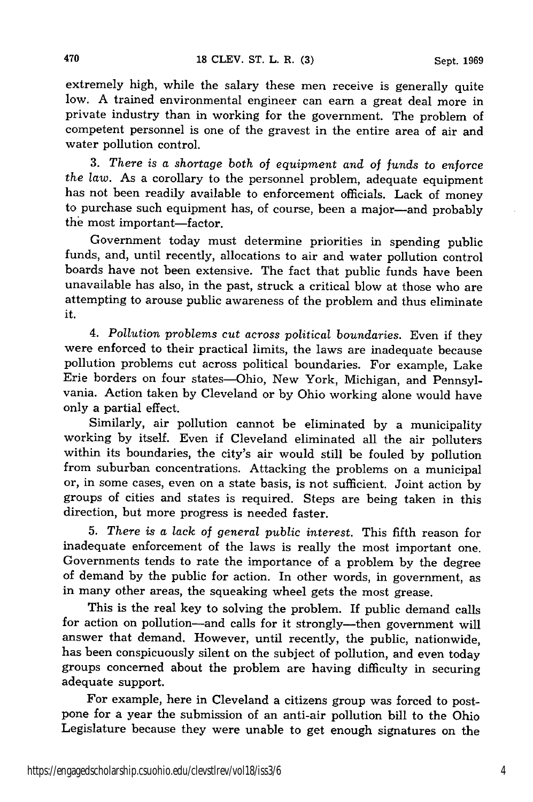extremely high, while the salary these men receive is generally quite low. A trained environmental engineer can earn a great deal more in private industry than in working for the government. The problem of competent personnel is one of the gravest in the entire area of air and water pollution control.

**3.** *There is a shortage both of equipment and of funds to enforce the law.* As a corollary to the personnel problem, adequate equipment has not been readily available to enforcement officials. Lack of money to purchase such equipment has, of course, been a major-and probably the most important-factor.

Government today must determine priorities in spending public funds, and, until recently, allocations to air and water pollution control boards have not been extensive. The fact that public funds have been unavailable has also, in the past, struck a critical blow at those who are attempting to arouse public awareness of the problem and thus eliminate it.

*4. Pollution problems cut across political boundaries.* Even if they were enforced to their practical limits, the laws are inadequate because pollution problems cut across political boundaries. For example, Lake Erie borders on four states-Ohio, New York, Michigan, and Pennsylvania. Action taken by Cleveland or by Ohio working alone would have only a partial effect.

Similarly, air pollution cannot be eliminated by a municipality working by itself. Even if Cleveland eliminated all the air polluters within its boundaries, the city's air would still be fouled by pollution from suburban concentrations. Attacking the problems on a municipal or, in some cases, even on a state basis, is not sufficient. Joint action by groups of cities and states is required. Steps are being taken in this direction, but more progress is needed faster.

**5.** *There is a lack of general public interest.* This fifth reason for inadequate enforcement of the laws is really the most important one. Governments tends to rate the importance of a problem by the degree of demand by the public for action. In other words, in government, as in many other areas, the squeaking wheel gets the most grease.

This is the real key to solving the problem. If public demand calls for action on pollution-and calls for it strongly-then government will answer that demand. However, until recently, the public, nationwide, has been conspicuously silent on the subject of pollution, and even today groups concerned about the problem are having difficulty in securing adequate support.

For example, here in Cleveland a citizens group was forced to postpone for a year the submission of an anti-air pollution bill to the Ohio Legislature because they were unable to get enough signatures on the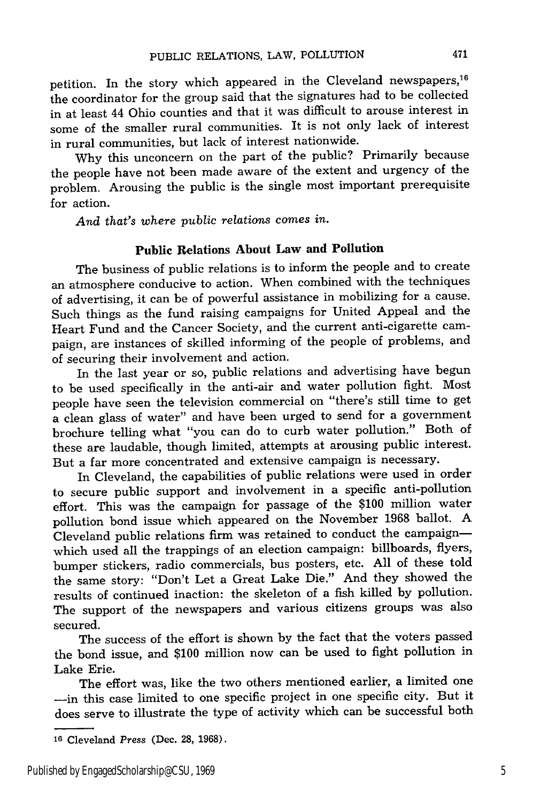petition. In the story which appeared in the Cleveland newspapers, 1 the coordinator for the group said that the signatures had to be collected in at least 44 Ohio counties and that it was difficult to arouse interest in some of the smaller rural communities. It is not only lack of interest in rural communities, but lack of interest nationwide.

Why this unconcern on the part of the public? Primarily because the people have not been made aware of the extent and urgency of the problem. Arousing the public is the single most important prerequisite for action.

*And that's where public relations comes in.*

### **Public Relations About Law and Pollution**

The business of public relations is to inform the people and to create an atmosphere conducive to action. When combined with the techniques of advertising, it can be of powerful assistance in mobilizing for a cause. Such things as the fund raising campaigns for United Appeal and the Heart Fund and the Cancer Society, and the current anti-cigarette campaign, are instances of skilled informing of the people of problems, and of securing their involvement and action.

In the last year or so, public relations and advertising have begun to be used specifically in the anti-air and water pollution fight. Most people have seen the television commercial on "there's still time to get a clean glass of water" and have been urged to send for a government brochure telling what "you can do to curb water pollution." Both of these are laudable, though limited, attempts at arousing public interest. But a far more concentrated and extensive campaign is necessary.

In Cleveland, the capabilities of public relations were used in order to secure public support and involvement in a specific anti-pollution effort. This was the campaign for passage of the \$100 million water pollution bond issue which appeared on the November 1968 ballot. A Cleveland public relations firm was retained to conduct the campaignwhich used all the trappings of an election campaign: billboards, flyers, bumper stickers, radio commercials, bus posters, etc. All of these told the same story: "Don't Let a Great Lake Die." And they showed the results of continued inaction: the skeleton of a fish killed by pollution. The support of the newspapers and various citizens groups was also secured.

The success of the effort is shown by the fact that the voters passed the bond issue, and \$100 million now can be used to fight pollution in Lake Erie.

The effort was, like the two others mentioned earlier, a limited one -- in this case limited to one specific project in one specific city. But it does serve to illustrate the type of activity which can be successful both

**<sup>16</sup>**Cleveland *Press* (Dec. **28,** 1968).